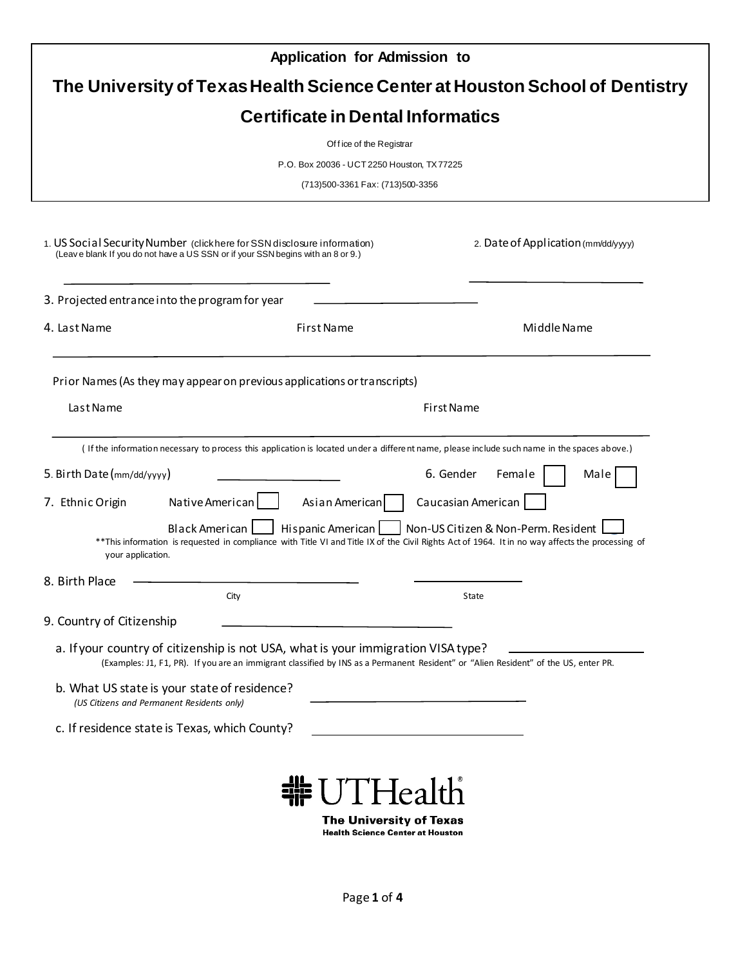|                                                                                                                                             | <b>Application for Admission to</b>                                                                                                                                                                                          |                                                                              |
|---------------------------------------------------------------------------------------------------------------------------------------------|------------------------------------------------------------------------------------------------------------------------------------------------------------------------------------------------------------------------------|------------------------------------------------------------------------------|
|                                                                                                                                             |                                                                                                                                                                                                                              | The University of Texas Health Science Center at Houston School of Dentistry |
|                                                                                                                                             | <b>Certificate in Dental Informatics</b>                                                                                                                                                                                     |                                                                              |
|                                                                                                                                             | Of fice of the Registrar                                                                                                                                                                                                     |                                                                              |
|                                                                                                                                             | P.O. Box 20036 - UCT 2250 Houston, TX 77225                                                                                                                                                                                  |                                                                              |
|                                                                                                                                             | (713)500-3361 Fax: (713)500-3356                                                                                                                                                                                             |                                                                              |
|                                                                                                                                             | 1. US Social Security Number (clickhere for SSN disclosure information)<br>(Leave blank If you do not have a US SSN or if your SSN begins with an 8 or 9.)                                                                   | 2. Date of Application (mm/dd/yyyy)                                          |
| 3. Projected entrance into the program for year                                                                                             |                                                                                                                                                                                                                              |                                                                              |
| 4. Last Name                                                                                                                                | First Name                                                                                                                                                                                                                   | Middle Name                                                                  |
|                                                                                                                                             |                                                                                                                                                                                                                              |                                                                              |
|                                                                                                                                             | (If the information necessary to process this application is located under a different name, please include such name in the spaces above.)                                                                                  |                                                                              |
|                                                                                                                                             |                                                                                                                                                                                                                              | 6. Gender<br>Female<br>Male                                                  |
| your application.                                                                                                                           | Native American<br>Asian American<br>Black American<br>Hispanic American<br>**This information is requested in compliance with Title VI and Title IX of the Civil Rights Act of 1964. It in no way affects the processing of | Caucasian American<br>Non-US Citizen & Non-Perm. Resident                    |
|                                                                                                                                             |                                                                                                                                                                                                                              |                                                                              |
|                                                                                                                                             | City                                                                                                                                                                                                                         | State                                                                        |
|                                                                                                                                             |                                                                                                                                                                                                                              |                                                                              |
|                                                                                                                                             | a. If your country of citizenship is not USA, what is your immigration VISA type?<br>(Examples: J1, F1, PR). If you are an immigrant classified by INS as a Permanent Resident" or "Alien Resident" of the US, enter PR.     |                                                                              |
| 5. Birth Date (mm/dd/yyyy)<br>7. Ethnic Origin<br>8. Birth Place<br>9. Country of Citizenship<br>(US Citizens and Permanent Residents only) | b. What US state is your state of residence?                                                                                                                                                                                 |                                                                              |

**The University of Texas**<br>Health Science Center at Houston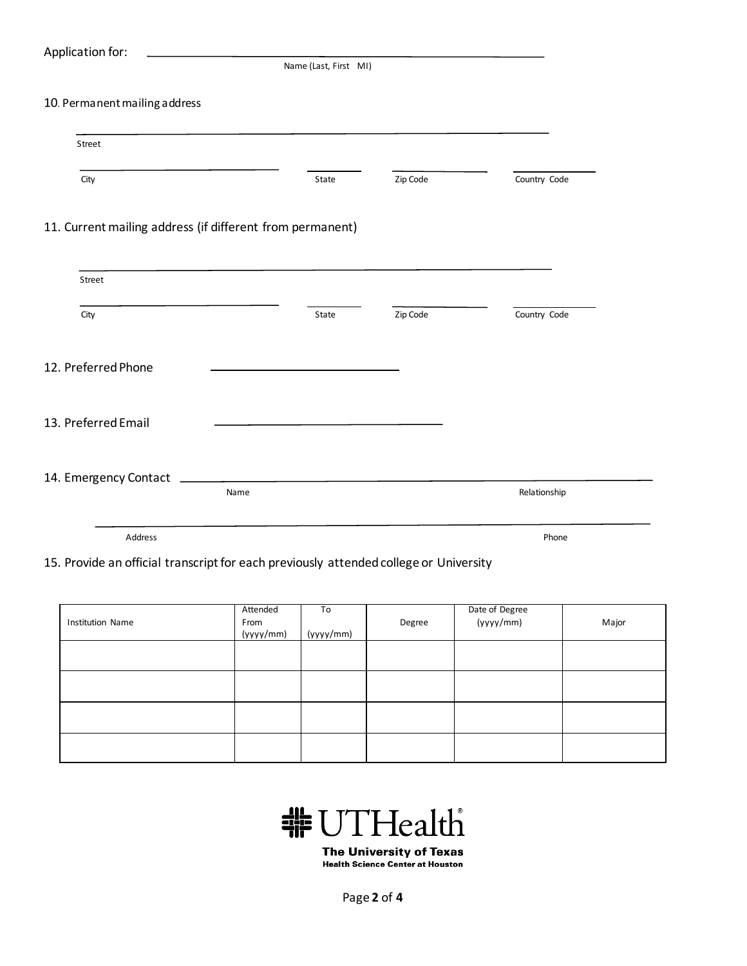## Application for:

Name (Last, First MI)

## 10. Permanent mailing address

| Street                                                                                                         |      |       |          |              |
|----------------------------------------------------------------------------------------------------------------|------|-------|----------|--------------|
| City                                                                                                           |      | State | Zip Code | Country Code |
| 11. Current mailing address (if different from permanent)                                                      |      |       |          |              |
| Street                                                                                                         |      |       |          |              |
| City                                                                                                           |      | State | Zip Code | Country Code |
| 12. Preferred Phone                                                                                            |      |       |          |              |
| 13. Preferred Email                                                                                            |      |       |          |              |
|                                                                                                                |      |       |          |              |
| 14. Emergency Contact Learner and Contact Contact Contact Contact Contact Contact Contact Contact Contact Cont | Name |       |          | Relationship |
| Address                                                                                                        |      |       |          | Phone        |

## 15. Provide an official transcript for each previously attended college or University

| Institution Name | Attended<br>From<br>(yyyy/mm) | To<br>(yyyy/mm) | Degree | Date of Degree<br>(yyyy/mm) | Major |
|------------------|-------------------------------|-----------------|--------|-----------------------------|-------|
|                  |                               |                 |        |                             |       |
|                  |                               |                 |        |                             |       |
|                  |                               |                 |        |                             |       |
|                  |                               |                 |        |                             |       |



**The University of Texas Health Science Center at Houston** 

Page **2** of **4**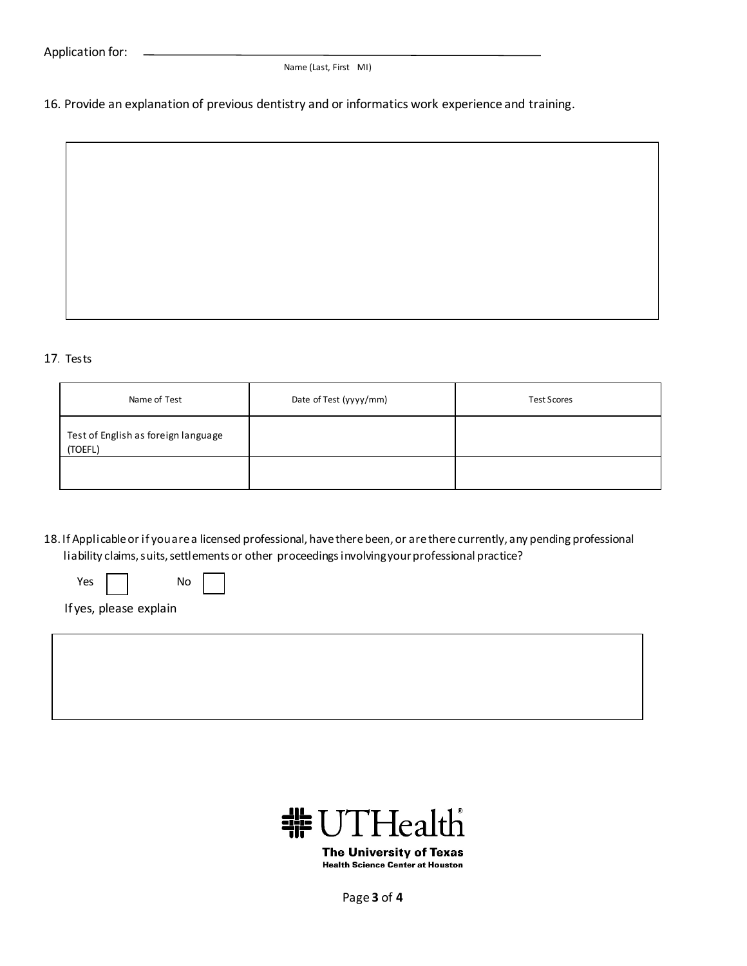Name (Last, First MI)

16. Provide an explanation of previous dentistry and or informatics work experience and training.

## 17. Tests

| Name of Test                                   | Date of Test (yyyy/mm) | <b>Test Scores</b> |
|------------------------------------------------|------------------------|--------------------|
| Test of English as foreign language<br>(TOEFL) |                        |                    |
|                                                |                        |                    |

18. If Applicable or if you are a licensed professional, have there been, or are there currently, any pending professional liability claims, suits, settlements or other proceedings involving your professional practice?

| Yes. | No |
|------|----|
|------|----|

If yes, please explain



**The University of Texas Health Science Center at Houston** 

Page **3** of **4**